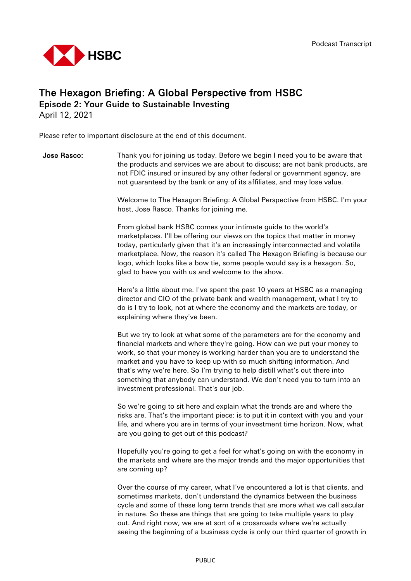

# The Hexagon Briefing: A Global Perspective from HSBC Episode 2: Your Guide to Sustainable Investing

April 12, 2021

Please refer to important disclosure at the end of this document.

**Jose Rasco:** Thank you for joining us today. Before we begin I need you to be aware that the products and services we are about to discuss; are not bank products, are not FDIC insured or insured by any other federal or government agency, are not guaranteed by the bank or any of its affiliates, and may lose value.

> Welcome to The Hexagon Briefing: A Global Perspective from HSBC. I'm your host, Jose Rasco. Thanks for joining me.

> From global bank HSBC comes your intimate guide to the world's marketplaces. I'll be offering our views on the topics that matter in money today, particularly given that it's an increasingly interconnected and volatile marketplace. Now, the reason it's called The Hexagon Briefing is because our logo, which looks like a bow tie, some people would say is a hexagon. So, glad to have you with us and welcome to the show.

Here's a little about me. I've spent the past 10 years at HSBC as a managing director and CIO of the private bank and wealth management, what I try to do is I try to look, not at where the economy and the markets are today, or explaining where they've been.

But we try to look at what some of the parameters are for the economy and financial markets and where they're going. How can we put your money to work, so that your money is working harder than you are to understand the market and you have to keep up with so much shifting information. And that's why we're here. So I'm trying to help distill what's out there into something that anybody can understand. We don't need you to turn into an investment professional. That's our job.

So we're going to sit here and explain what the trends are and where the risks are. That's the important piece: is to put it in context with you and your life, and where you are in terms of your investment time horizon. Now, what are you going to get out of this podcast?

Hopefully you're going to get a feel for what's going on with the economy in the markets and where are the major trends and the major opportunities that are coming up?

Over the course of my career, what I've encountered a lot is that clients, and sometimes markets, don't understand the dynamics between the business cycle and some of these long term trends that are more what we call secular in nature. So these are things that are going to take multiple years to play out. And right now, we are at sort of a crossroads where we're actually seeing the beginning of a business cycle is only our third quarter of growth in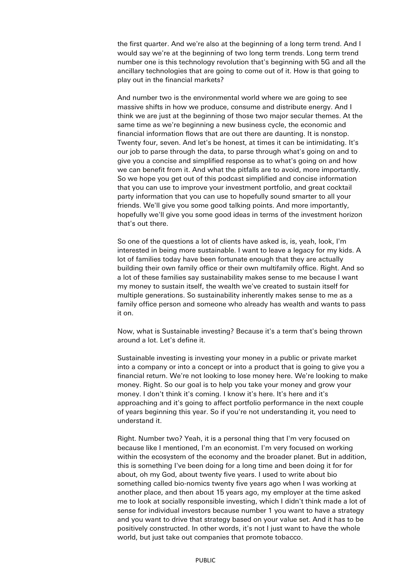the first quarter. And we're also at the beginning of a long term trend. And I would say we're at the beginning of two long term trends. Long term trend number one is this technology revolution that's beginning with 5G and all the ancillary technologies that are going to come out of it. How is that going to play out in the financial markets?

And number two is the environmental world where we are going to see massive shifts in how we produce, consume and distribute energy. And I think we are just at the beginning of those two major secular themes. At the same time as we're beginning a new business cycle, the economic and financial information flows that are out there are daunting. It is nonstop. Twenty four, seven. And let's be honest, at times it can be intimidating. It's our job to parse through the data, to parse through what's going on and to give you a concise and simplified response as to what's going on and how we can benefit from it. And what the pitfalls are to avoid, more importantly. So we hope you get out of this podcast simplified and concise information that you can use to improve your investment portfolio, and great cocktail party information that you can use to hopefully sound smarter to all your friends. We'll give you some good talking points. And more importantly, hopefully we'll give you some good ideas in terms of the investment horizon that's out there.

So one of the questions a lot of clients have asked is, is, yeah, look, I'm interested in being more sustainable. I want to leave a legacy for my kids. A lot of families today have been fortunate enough that they are actually building their own family office or their own multifamily office. Right. And so a lot of these families say sustainability makes sense to me because I want my money to sustain itself, the wealth we've created to sustain itself for multiple generations. So sustainability inherently makes sense to me as a family office person and someone who already has wealth and wants to pass it on.

Now, what is Sustainable investing? Because it's a term that's being thrown around a lot. Let's define it.

Sustainable investing is investing your money in a public or private market into a company or into a concept or into a product that is going to give you a financial return. We're not looking to lose money here. We're looking to make money. Right. So our goal is to help you take your money and grow your money. I don't think it's coming. I know it's here. It's here and it's approaching and it's going to affect portfolio performance in the next couple of years beginning this year. So if you're not understanding it, you need to understand it.

Right. Number two? Yeah, it is a personal thing that I'm very focused on because like I mentioned, I'm an economist. I'm very focused on working within the ecosystem of the economy and the broader planet. But in addition, this is something I've been doing for a long time and been doing it for for about, oh my God, about twenty five years. I used to write about bio something called bio-nomics twenty five years ago when I was working at another place, and then about 15 years ago, my employer at the time asked me to look at socially responsible investing, which I didn't think made a lot of sense for individual investors because number 1 you want to have a strategy and you want to drive that strategy based on your value set. And it has to be positively constructed. In other words, it's not I just want to have the whole world, but just take out companies that promote tobacco.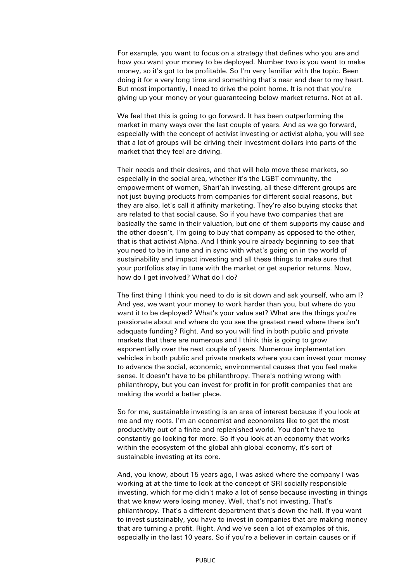For example, you want to focus on a strategy that defines who you are and how you want your money to be deployed. Number two is you want to make money, so it's got to be profitable. So I'm very familiar with the topic. Been doing it for a very long time and something that's near and dear to my heart. But most importantly, I need to drive the point home. It is not that you're giving up your money or your guaranteeing below market returns. Not at all.

We feel that this is going to go forward. It has been outperforming the market in many ways over the last couple of years. And as we go forward, especially with the concept of activist investing or activist alpha, you will see that a lot of groups will be driving their investment dollars into parts of the market that they feel are driving.

Their needs and their desires, and that will help move these markets, so especially in the social area, whether it's the LGBT community, the empowerment of women, Shari'ah investing, all these different groups are not just buying products from companies for different social reasons, but they are also, let's call it affinity marketing. They're also buying stocks that are related to that social cause. So if you have two companies that are basically the same in their valuation, but one of them supports my cause and the other doesn't, I'm going to buy that company as opposed to the other, that is that activist Alpha. And I think you're already beginning to see that you need to be in tune and in sync with what's going on in the world of sustainability and impact investing and all these things to make sure that your portfolios stay in tune with the market or get superior returns. Now, how do I get involved? What do I do?

The first thing I think you need to do is sit down and ask yourself, who am I? And yes, we want your money to work harder than you, but where do you want it to be deployed? What's your value set? What are the things you're passionate about and where do you see the greatest need where there isn't adequate funding? Right. And so you will find in both public and private markets that there are numerous and I think this is going to grow exponentially over the next couple of years. Numerous implementation vehicles in both public and private markets where you can invest your money to advance the social, economic, environmental causes that you feel make sense. It doesn't have to be philanthropy. There's nothing wrong with philanthropy, but you can invest for profit in for profit companies that are making the world a better place.

So for me, sustainable investing is an area of interest because if you look at me and my roots. I'm an economist and economists like to get the most productivity out of a finite and replenished world. You don't have to constantly go looking for more. So if you look at an economy that works within the ecosystem of the global ahh global economy, it's sort of sustainable investing at its core.

And, you know, about 15 years ago, I was asked where the company I was working at at the time to look at the concept of SRI socially responsible investing, which for me didn't make a lot of sense because investing in things that we knew were losing money. Well, that's not investing. That's philanthropy. That's a different department that's down the hall. If you want to invest sustainably, you have to invest in companies that are making money that are turning a profit. Right. And we've seen a lot of examples of this, especially in the last 10 years. So if you're a believer in certain causes or if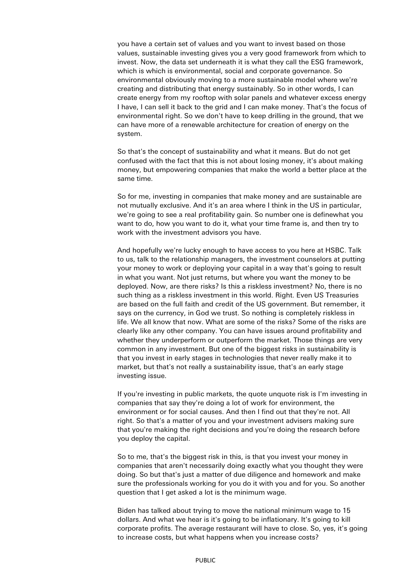you have a certain set of values and you want to invest based on those values, sustainable investing gives you a very good framework from which to invest. Now, the data set underneath it is what they call the ESG framework, which is which is environmental, social and corporate governance. So environmental obviously moving to a more sustainable model where we're creating and distributing that energy sustainably. So in other words, I can create energy from my rooftop with solar panels and whatever excess energy I have, I can sell it back to the grid and I can make money. That's the focus of environmental right. So we don't have to keep drilling in the ground, that we can have more of a renewable architecture for creation of energy on the system.

So that's the concept of sustainability and what it means. But do not get confused with the fact that this is not about losing money, it's about making money, but empowering companies that make the world a better place at the same time.

So for me, investing in companies that make money and are sustainable are not mutually exclusive. And it's an area where I think in the US in particular, we're going to see a real profitability gain. So number one is definewhat you want to do, how you want to do it, what your time frame is, and then try to work with the investment advisors you have.

And hopefully we're lucky enough to have access to you here at HSBC. Talk to us, talk to the relationship managers, the investment counselors at putting your money to work or deploying your capital in a way that's going to result in what you want. Not just returns, but where you want the money to be deployed. Now, are there risks? Is this a riskless investment? No, there is no such thing as a riskless investment in this world. Right. Even US Treasuries are based on the full faith and credit of the US government. But remember, it says on the currency, in God we trust. So nothing is completely riskless in life. We all know that now. What are some of the risks? Some of the risks are clearly like any other company. You can have issues around profitability and whether they underperform or outperform the market. Those things are very common in any investment. But one of the biggest risks in sustainability is that you invest in early stages in technologies that never really make it to market, but that's not really a sustainability issue, that's an early stage investing issue.

If you're investing in public markets, the quote unquote risk is I'm investing in companies that say they're doing a lot of work for environment, the environment or for social causes. And then I find out that they're not. All right. So that's a matter of you and your investment advisers making sure that you're making the right decisions and you're doing the research before you deploy the capital.

So to me, that's the biggest risk in this, is that you invest your money in companies that aren't necessarily doing exactly what you thought they were doing. So but that's just a matter of due diligence and homework and make sure the professionals working for you do it with you and for you. So another question that I get asked a lot is the minimum wage.

Biden has talked about trying to move the national minimum wage to 15 dollars. And what we hear is it's going to be inflationary. It's going to kill corporate profits. The average restaurant will have to close. So, yes, it's going to increase costs, but what happens when you increase costs?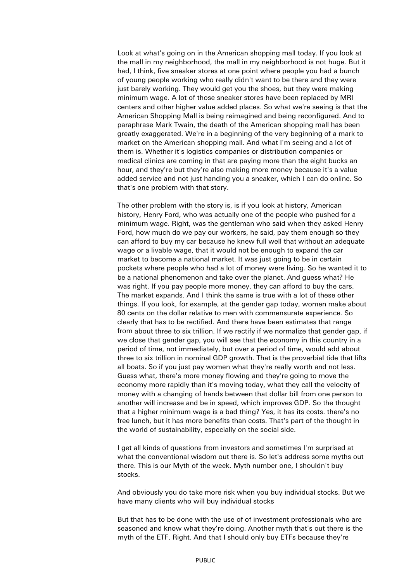Look at what's going on in the American shopping mall today. If you look at the mall in my neighborhood, the mall in my neighborhood is not huge. But it had, I think, five sneaker stores at one point where people you had a bunch of young people working who really didn't want to be there and they were just barely working. They would get you the shoes, but they were making minimum wage. A lot of those sneaker stores have been replaced by MRI centers and other higher value added places. So what we're seeing is that the American Shopping Mall is being reimagined and being reconfigured. And to paraphrase Mark Twain, the death of the American shopping mall has been greatly exaggerated. We're in a beginning of the very beginning of a mark to market on the American shopping mall. And what I'm seeing and a lot of them is. Whether it's logistics companies or distribution companies or medical clinics are coming in that are paying more than the eight bucks an hour, and they're but they're also making more money because it's a value added service and not just handing you a sneaker, which I can do online. So that's one problem with that story.

The other problem with the story is, is if you look at history, American history, Henry Ford, who was actually one of the people who pushed for a minimum wage. Right, was the gentleman who said when they asked Henry Ford, how much do we pay our workers, he said, pay them enough so they can afford to buy my car because he knew full well that without an adequate wage or a livable wage, that it would not be enough to expand the car market to become a national market. It was just going to be in certain pockets where people who had a lot of money were living. So he wanted it to be a national phenomenon and take over the planet. And guess what? He was right. If you pay people more money, they can afford to buy the cars. The market expands. And I think the same is true with a lot of these other things. If you look, for example, at the gender gap today, women make about 80 cents on the dollar relative to men with commensurate experience. So clearly that has to be rectified. And there have been estimates that range from about three to six trillion. If we rectify if we normalize that gender gap, if we close that gender gap, you will see that the economy in this country in a period of time, not immediately, but over a period of time, would add about three to six trillion in nominal GDP growth. That is the proverbial tide that lifts all boats. So if you just pay women what they're really worth and not less. Guess what, there's more money flowing and they're going to move the economy more rapidly than it's moving today, what they call the velocity of money with a changing of hands between that dollar bill from one person to another will increase and be in speed, which improves GDP. So the thought that a higher minimum wage is a bad thing? Yes, it has its costs. there's no free lunch, but it has more benefits than costs. That's part of the thought in the world of sustainability, especially on the social side.

I get all kinds of questions from investors and sometimes I'm surprised at what the conventional wisdom out there is. So let's address some myths out there. This is our Myth of the week. Myth number one, I shouldn't buy stocks.

And obviously you do take more risk when you buy individual stocks. But we have many clients who will buy individual stocks

But that has to be done with the use of of investment professionals who are seasoned and know what they're doing. Another myth that's out there is the myth of the ETF. Right. And that I should only buy ETFs because they're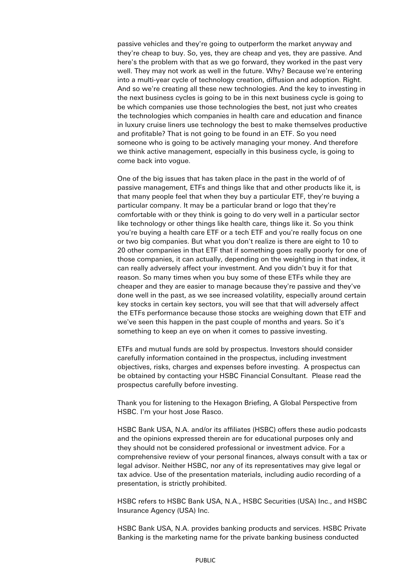passive vehicles and they're going to outperform the market anyway and they're cheap to buy. So, yes, they are cheap and yes, they are passive. And here's the problem with that as we go forward, they worked in the past very well. They may not work as well in the future. Why? Because we're entering into a multi-year cycle of technology creation, diffusion and adoption. Right. And so we're creating all these new technologies. And the key to investing in the next business cycles is going to be in this next business cycle is going to be which companies use those technologies the best, not just who creates the technologies which companies in health care and education and finance in luxury cruise liners use technology the best to make themselves productive and profitable? That is not going to be found in an ETF. So you need someone who is going to be actively managing your money. And therefore we think active management, especially in this business cycle, is going to come back into vogue.

One of the big issues that has taken place in the past in the world of of passive management, ETFs and things like that and other products like it, is that many people feel that when they buy a particular ETF, they're buying a particular company. It may be a particular brand or logo that they're comfortable with or they think is going to do very well in a particular sector like technology or other things like health care, things like it. So you think you're buying a health care ETF or a tech ETF and you're really focus on one or two big companies. But what you don't realize is there are eight to 10 to 20 other companies in that ETF that if something goes really poorly for one of those companies, it can actually, depending on the weighting in that index, it can really adversely affect your investment. And you didn't buy it for that reason. So many times when you buy some of these ETFs while they are cheaper and they are easier to manage because they're passive and they've done well in the past, as we see increased volatility, especially around certain key stocks in certain key sectors, you will see that that will adversely affect the ETFs performance because those stocks are weighing down that ETF and we've seen this happen in the past couple of months and years. So it's something to keep an eye on when it comes to passive investing.

ETFs and mutual funds are sold by prospectus. Investors should consider carefully information contained in the prospectus, including investment objectives, risks, charges and expenses before investing. A prospectus can be obtained by contacting your HSBC Financial Consultant. Please read the prospectus carefully before investing.

Thank you for listening to the Hexagon Briefing, A Global Perspective from HSBC. I'm your host Jose Rasco.

HSBC Bank USA, N.A. and/or its affiliates (HSBC) offers these audio podcasts and the opinions expressed therein are for educational purposes only and they should not be considered professional or investment advice. For a comprehensive review of your personal finances, always consult with a tax or legal advisor. Neither HSBC, nor any of its representatives may give legal or tax advice. Use of the presentation materials, including audio recording of a presentation, is strictly prohibited.

HSBC refers to HSBC Bank USA, N.A., HSBC Securities (USA) Inc., and HSBC Insurance Agency (USA) Inc.

HSBC Bank USA, N.A. provides banking products and services. HSBC Private Banking is the marketing name for the private banking business conducted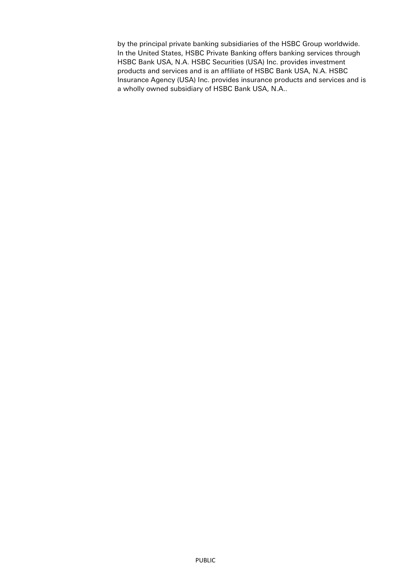by the principal private banking subsidiaries of the HSBC Group worldwide. In the United States, HSBC Private Banking offers banking services through HSBC Bank USA, N.A. HSBC Securities (USA) Inc. provides investment products and services and is an affiliate of HSBC Bank USA, N.A. HSBC Insurance Agency (USA) Inc. provides insurance products and services and is a wholly owned subsidiary of HSBC Bank USA, N.A..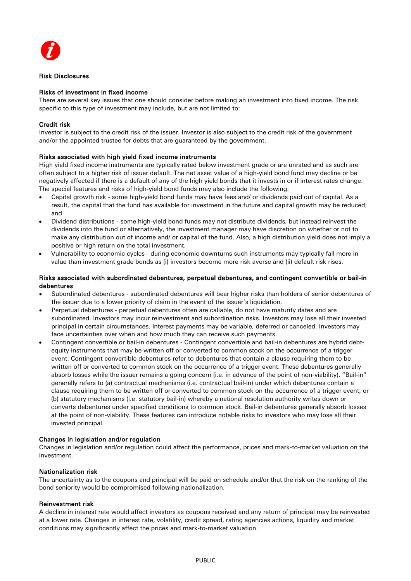

### Risk Disclosures

### Risks of investment in fixed income

There are several key issues that one should consider before making an investment into fixed income. The risk specific to this type of investment may include, but are not limited to:

#### Credit risk

Investor is subject to the credit risk of the issuer. Investor is also subject to the credit risk of the government and/or the appointed trustee for debts that are guaranteed by the government.

#### Risks associated with high yield fixed income instruments

High yield fixed income instruments are typically rated below investment grade or are unrated and as such are often subject to a higher risk of issuer default. The net asset value of a high-yield bond fund may decline or be negatively affected if there is a default of any of the high yield bonds that it invests in or if interest rates change. The special features and risks of high-yield bond funds may also include the following:

- Capital growth risk some high-yield bond funds may have fees and/ or dividends paid out of capital. As a result, the capital that the fund has available for investment in the future and capital growth may be reduced; and
- Dividend distributions some high-yield bond funds may not distribute dividends, but instead reinvest the dividends into the fund or alternatively, the investment manager may have discretion on whether or not to make any distribution out of income and/ or capital of the fund. Also, a high distribution yield does not imply a positive or high return on the total investment.
- Vulnerability to economic cycles during economic downturns such instruments may typically fall more in value than investment grade bonds as (i) investors become more risk averse and (ii) default risk rises.

#### Risks associated with subordinated debentures, perpetual debentures, and contingent convertible or bail-in debentures

- Subordinated debentures subordinated debentures will bear higher risks than holders of senior debentures of the issuer due to a lower priority of claim in the event of the issuer's liquidation.
- Perpetual debentures perpetual debentures often are callable, do not have maturity dates and are subordinated. Investors may incur reinvestment and subordination risks. Investors may lose all their invested principal in certain circumstances. Interest payments may be variable, deferred or canceled. Investors may face uncertainties over when and how much they can receive such payments.
- Contingent convertible or bail-in debentures Contingent convertible and bail-in debentures are hybrid debtequity instruments that may be written off or converted to common stock on the occurrence of a trigger event. Contingent convertible debentures refer to debentures that contain a clause requiring them to be written off or converted to common stock on the occurrence of a trigger event. These debentures generally absorb losses while the issuer remains a going concern (i.e. in advance of the point of non-viability). "Bail-in" generally refers to (a) contractual mechanisms (i.e. contractual bail-in) under which debentures contain a clause requiring them to be written off or converted to common stock on the occurrence of a trigger event, or (b) statutory mechanisms (i.e. statutory bail-in) whereby a national resolution authority writes down or converts debentures under specified conditions to common stock. Bail-in debentures generally absorb losses at the point of non-viability. These features can introduce notable risks to investors who may lose all their invested principal.

#### Changes in legislation and/or regulation

Changes in legislation and/or regulation could affect the performance, prices and mark-to-market valuation on the investment.

# Nationalization risk

The uncertainty as to the coupons and principal will be paid on schedule and/or that the risk on the ranking of the bond seniority would be compromised following nationalization.

#### Reinvestment risk

A decline in interest rate would affect investors as coupons received and any return of principal may be reinvested at a lower rate. Changes in interest rate, volatility, credit spread, rating agencies actions, liquidity and market conditions may significantly affect the prices and mark-to-market valuation.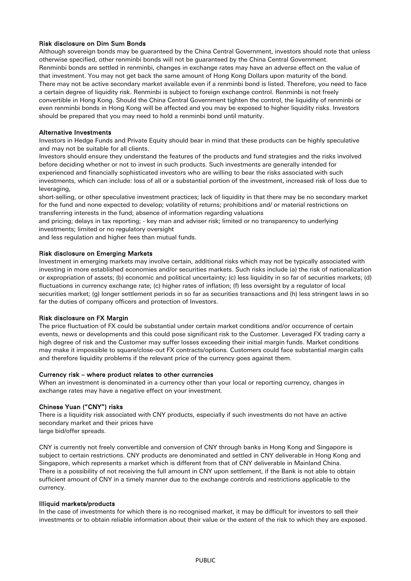# Risk disclosure on Dim Sum Bonds

Although sovereign bonds may be guaranteed by the China Central Government, investors should note that unless otherwise specified, other renminbi bonds will not be guaranteed by the China Central Government. Renminbi bonds are settled in renminbi, changes in exchange rates may have an adverse effect on the value of that investment. You may not get back the same amount of Hong Kong Dollars upon maturity of the bond. There may not be active secondary market available even if a renminbi bond is listed. Therefore, you need to face a certain degree of liquidity risk. Renminbi is subject to foreign exchange control. Renminbi is not freely convertible in Hong Kong. Should the China Central Government tighten the control, the liquidity of renminbi or even renminbi bonds in Hong Kong will be affected and you may be exposed to higher liquidity risks. Investors should be prepared that you may need to hold a renminbi bond until maturity.

# Alternative Investments

Investors in Hedge Funds and Private Equity should bear in mind that these products can be highly speculative and may not be suitable for all clients.

Investors should ensure they understand the features of the products and fund strategies and the risks involved before deciding whether or not to invest in such products. Such investments are generally intended for experienced and financially sophisticated investors who are willing to bear the risks associated with such investments, which can include: loss of all or a substantial portion of the investment, increased risk of loss due to leveraging,

short-selling, or other speculative investment practices; lack of liquidity in that there may be no secondary market for the fund and none expected to develop; volatility of returns; prohibitions and/ or material restrictions on transferring interests in the fund; absence of information regarding valuations

and pricing; delays in tax reporting; - key man and adviser risk; limited or no transparency to underlying investments; limited or no regulatory oversight

and less regulation and higher fees than mutual funds.

# Risk disclosure on Emerging Markets

Investment in emerging markets may involve certain, additional risks which may not be typically associated with investing in more established economies and/or securities markets. Such risks include (a) the risk of nationalization or expropriation of assets; (b) economic and political uncertainty; (c) less liquidity in so far of securities markets; (d) fluctuations in currency exchange rate; (c) higher rates of inflation; (f) less oversight by a regulator of local securities market; (g) longer settlement periods in so far as securities transactions and (h) less stringent laws in so far the duties of company officers and protection of Investors.

#### Risk disclosure on FX Margin

The price fluctuation of FX could be substantial under certain market conditions and/or occurrence of certain events, news or developments and this could pose significant risk to the Customer. Leveraged FX trading carry a high degree of risk and the Customer may suffer losses exceeding their initial margin funds. Market conditions may make it impossible to square/close-out FX contracts/options. Customers could face substantial margin calls and therefore liquidity problems if the relevant price of the currency goes against them.

#### Currency risk – where product relates to other currencies

When an investment is denominated in a currency other than your local or reporting currency, changes in exchange rates may have a negative effect on your investment.

# Chinese Yuan ("CNY") risks

There is a liquidity risk associated with CNY products, especially if such investments do not have an active secondary market and their prices have large bid/offer spreads.

CNY is currently not freely convertible and conversion of CNY through banks in Hong Kong and Singapore is subject to certain restrictions. CNY products are denominated and settled in CNY deliverable in Hong Kong and Singapore, which represents a market which is different from that of CNY deliverable in Mainland China. There is a possibility of not receiving the full amount in CNY upon settlement, if the Bank is not able to obtain sufficient amount of CNY in a timely manner due to the exchange controls and restrictions applicable to the currency.

# Illiquid markets/products

In the case of investments for which there is no recognised market, it may be difficult for investors to sell their investments or to obtain reliable information about their value or the extent of the risk to which they are exposed.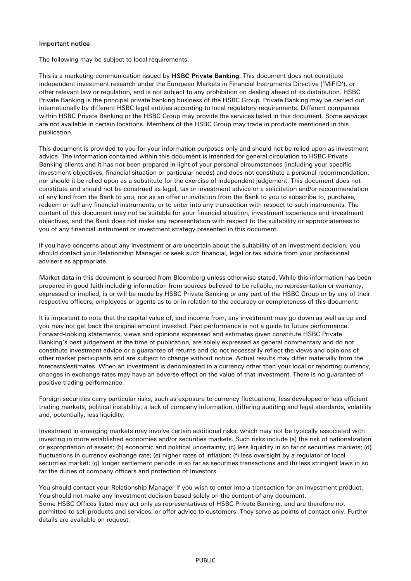# Important notice

The following may be subject to local requirements.

This is a marketing communication issued by HSBC Private Banking. This document does not constitute independent investment research under the European Markets in Financial Instruments Directive ('MiFID'), or other relevant law or regulation, and is not subject to any prohibition on dealing ahead of its distribution. HSBC Private Banking is the principal private banking business of the HSBC Group. Private Banking may be carried out internationally by different HSBC legal entities according to local regulatory requirements. Different companies within HSBC Private Banking or the HSBC Group may provide the services listed in this document. Some services are not available in certain locations. Members of the HSBC Group may trade in products mentioned in this publication.

This document is provided to you for your information purposes only and should not be relied upon as investment advice. The information contained within this document is intended for general circulation to HSBC Private Banking clients and it has not been prepared in light of your personal circumstances (including your specific investment objectives, financial situation or particular needs) and does not constitute a personal recommendation, nor should it be relied upon as a substitute for the exercise of independent judgement. This document does not constitute and should not be construed as legal, tax or investment advice or a solicitation and/or recommendation of any kind from the Bank to you, nor as an offer or invitation from the Bank to you to subscribe to, purchase, redeem or sell any financial instruments, or to enter into any transaction with respect to such instruments. The content of this document may not be suitable for your financial situation, investment experience and investment objectives, and the Bank does not make any representation with respect to the suitability or appropriateness to you of any financial instrument or investment strategy presented in this document.

If you have concerns about any investment or are uncertain about the suitability of an investment decision, you should contact your Relationship Manager or seek such financial, legal or tax advice from your professional advisers as appropriate.

Market data in this document is sourced from Bloomberg unless otherwise stated. While this information has been prepared in good faith including information from sources believed to be reliable, no representation or warranty, expressed or implied, is or will be made by HSBC Private Banking or any part of the HSBC Group or by any of their respective officers, employees or agents as to or in relation to the accuracy or completeness of this document.

It is important to note that the capital value of, and income from, any investment may go down as well as up and you may not get back the original amount invested. Past performance is not a guide to future performance. Forward-looking statements, views and opinions expressed and estimates given constitute HSBC Private Banking's best judgement at the time of publication, are solely expressed as general commentary and do not constitute investment advice or a guarantee of returns and do not necessarily reflect the views and opinions of other market participants and are subject to change without notice. Actual results may differ materially from the forecasts/estimates. When an investment is denominated in a currency other than your local or reporting currency, changes in exchange rates may have an adverse effect on the value of that investment. There is no guarantee of positive trading performance.

Foreign securities carry particular risks, such as exposure to currency fluctuations, less developed or less efficient trading markets, political instability, a lack of company information, differing auditing and legal standards, volatility and, potentially, less liquidity.

Investment in emerging markets may involve certain additional risks, which may not be typically associated with investing in more established economies and/or securities markets. Such risks include (a) the risk of nationalization or expropriation of assets; (b) economic and political uncertainty; (c) less liquidity in so far of securities markets; (d) fluctuations in currency exchange rate; (e) higher rates of inflation; (f) less oversight by a regulator of local securities market; (g) longer settlement periods in so far as securities transactions and (h) less stringent laws in so far the duties of company officers and protection of Investors.

You should contact your Relationship Manager if you wish to enter into a transaction for an investment product. You should not make any investment decision based solely on the content of any document. Some HSBC Offices listed may act only as representatives of HSBC Private Banking, and are therefore not permitted to sell products and services, or offer advice to customers. They serve as points of contact only. Further details are available on request.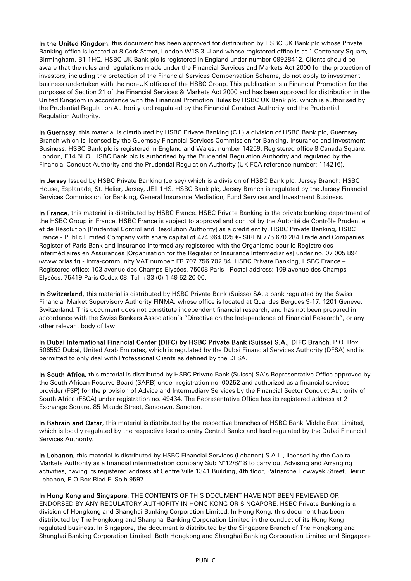In the United Kingdom, this document has been approved for distribution by HSBC UK Bank plc whose Private Banking office is located at 8 Cork Street, London W1S 3LJ and whose registered office is at 1 Centenary Square, Birmingham, B1 1HQ. HSBC UK Bank plc is registered in England under number 09928412. Clients should be aware that the rules and regulations made under the Financial Services and Markets Act 2000 for the protection of investors, including the protection of the Financial Services Compensation Scheme, do not apply to investment business undertaken with the non-UK offices of the HSBC Group. This publication is a Financial Promotion for the purposes of Section 21 of the Financial Services & Markets Act 2000 and has been approved for distribution in the United Kingdom in accordance with the Financial Promotion Rules by HSBC UK Bank plc, which is authorised by the Prudential Regulation Authority and regulated by the Financial Conduct Authority and the Prudential Regulation Authority.

In Guernsey, this material is distributed by HSBC Private Banking (C.I.) a division of HSBC Bank plc, Guernsey Branch which is licensed by the Guernsey Financial Services Commission for Banking, Insurance and Investment Business. HSBC Bank plc is registered in England and Wales, number 14259. Registered office 8 Canada Square, London, E14 5HQ. HSBC Bank plc is authorised by the Prudential Regulation Authority and regulated by the Financial Conduct Authority and the Prudential Regulation Authority (UK FCA reference number: 114216).

In Jersey Issued by HSBC Private Banking (Jersey) which is a division of HSBC Bank plc, Jersey Branch: HSBC House, Esplanade, St. Helier, Jersey, JE1 1HS. HSBC Bank plc, Jersey Branch is regulated by the Jersey Financial Services Commission for Banking, General Insurance Mediation, Fund Services and Investment Business.

In France, this material is distributed by HSBC France. HSBC Private Banking is the private banking department of the HSBC Group in France. HSBC France is subject to approval and control by the Autorité de Contrôle Prudentiel et de Résolution [Prudential Control and Resolution Authority] as a credit entity. HSBC Private Banking, HSBC France - Public Limited Company with share capital of 474.964.025 €- SIREN 775 670 284 Trade and Companies Register of Paris Bank and Insurance Intermediary registered with the Organisme pour le Registre des Intermédiaires en Assurances [Organisation for the Register of Insurance Intermediaries] under no. 07 005 894 (www.orias.fr) - Intra-community VAT number: FR 707 756 702 84. HSBC Private Banking, HSBC France – Registered office: 103 avenue des Champs-Elysées, 75008 Paris - Postal address: 109 avenue des Champs-Elysées, 75419 Paris Cedex 08, Tel. +33 (0) 1 49 52 20 00.

In Switzerland, this material is distributed by HSBC Private Bank (Suisse) SA, a bank regulated by the Swiss Financial Market Supervisory Authority FINMA, whose office is located at Quai des Bergues 9-17, 1201 Genève, Switzerland. This document does not constitute independent financial research, and has not been prepared in accordance with the Swiss Bankers Association's "Directive on the Independence of Financial Research", or any other relevant body of law.

In Dubai International Financial Center (DIFC) by HSBC Private Bank (Suisse) S.A., DIFC Branch, P.O. Box 506553 Dubai, United Arab Emirates, which is regulated by the Dubai Financial Services Authority (DFSA) and is permitted to only deal with Professional Clients as defined by the DFSA.

In South Africa, this material is distributed by HSBC Private Bank (Suisse) SA's Representative Office approved by the South African Reserve Board (SARB) under registration no. 00252 and authorized as a financial services provider (FSP) for the provision of Advice and Intermediary Services by the Financial Sector Conduct Authority of South Africa (FSCA) under registration no. 49434. The Representative Office has its registered address at 2 Exchange Square, 85 Maude Street, Sandown, Sandton.

In Bahrain and Qatar, this material is distributed by the respective branches of HSBC Bank Middle East Limited, which is locally regulated by the respective local country Central Banks and lead regulated by the Dubai Financial Services Authority.

In Lebanon, this material is distributed by HSBC Financial Services (Lebanon) S.A.L., licensed by the Capital Markets Authority as a financial intermediation company Sub N°12/8/18 to carry out Advising and Arranging activities, having its registered address at Centre Ville 1341 Building, 4th floor, Patriarche Howayek Street, Beirut, Lebanon, P.O.Box Riad El Solh 9597.

In Hong Kong and Singapore, THE CONTENTS OF THIS DOCUMENT HAVE NOT BEEN REVIEWED OR ENDORSED BY ANY REGULATORY AUTHORITY IN HONG KONG OR SINGAPORE. HSBC Private Banking is a division of Hongkong and Shanghai Banking Corporation Limited. In Hong Kong, this document has been distributed by The Hongkong and Shanghai Banking Corporation Limited in the conduct of its Hong Kong regulated business. In Singapore, the document is distributed by the Singapore Branch of The Hongkong and Shanghai Banking Corporation Limited. Both Hongkong and Shanghai Banking Corporation Limited and Singapore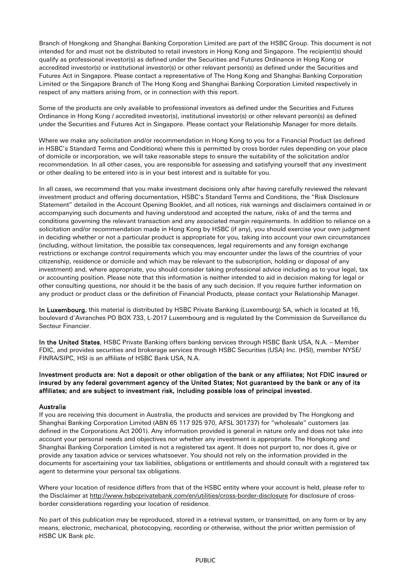Branch of Hongkong and Shanghai Banking Corporation Limited are part of the HSBC Group. This document is not intended for and must not be distributed to retail investors in Hong Kong and Singapore. The recipient(s) should qualify as professional investor(s) as defined under the Securities and Futures Ordinance in Hong Kong or accredited investor(s) or institutional investor(s) or other relevant person(s) as defined under the Securities and Futures Act in Singapore. Please contact a representative of The Hong Kong and Shanghai Banking Corporation Limited or the Singapore Branch of The Hong Kong and Shanghai Banking Corporation Limited respectively in respect of any matters arising from, or in connection with this report.

Some of the products are only available to professional investors as defined under the Securities and Futures Ordinance in Hong Kong / accredited investor(s), institutional investor(s) or other relevant person(s) as defined under the Securities and Futures Act in Singapore. Please contact your Relationship Manager for more details.

Where we make any solicitation and/or recommendation in Hong Kong to you for a Financial Product (as defined in HSBC's Standard Terms and Conditions) where this is permitted by cross border rules depending on your place of domicile or incorporation, we will take reasonable steps to ensure the suitability of the solicitation and/or recommendation. In all other cases, you are responsible for assessing and satisfying yourself that any investment or other dealing to be entered into is in your best interest and is suitable for you.

In all cases, we recommend that you make investment decisions only after having carefully reviewed the relevant investment product and offering documentation, HSBC's Standard Terms and Conditions, the "Risk Disclosure Statement" detailed in the Account Opening Booklet, and all notices, risk warnings and disclaimers contained in or accompanying such documents and having understood and accepted the nature, risks of and the terms and conditions governing the relevant transaction and any associated margin requirements. In addition to reliance on a solicitation and/or recommendation made in Hong Kong by HSBC (if any), you should exercise your own judgment in deciding whether or not a particular product is appropriate for you, taking into account your own circumstances (including, without limitation, the possible tax consequences, legal requirements and any foreign exchange restrictions or exchange control requirements which you may encounter under the laws of the countries of your citizenship, residence or domicile and which may be relevant to the subscription, holding or disposal of any investment) and, where appropriate, you should consider taking professional advice including as to your legal, tax or accounting position. Please note that this information is neither intended to aid in decision making for legal or other consulting questions, nor should it be the basis of any such decision. If you require further information on any product or product class or the definition of Financial Products, please contact your Relationship Manager.

In Luxembourg, this material is distributed by HSBC Private Banking (Luxembourg) SA, which is located at 16, boulevard d'Avranches PO BOX 733, L-2017 Luxembourg and is regulated by the Commission de Surveillance du Secteur Financier.

In the United States, HSBC Private Banking offers banking services through HSBC Bank USA, N.A. – Member FDIC, and provides securities and brokerage services through HSBC Securities (USA) Inc. (HSI), member NYSE/ FINRA/SIPC, HSI is an affiliate of HSBC Bank USA, N.A.

# Investment products are: Not a deposit or other obligation of the bank or any affiliates; Not FDIC insured or insured by any federal government agency of the United States; Not guaranteed by the bank or any of its affiliates; and are subject to investment risk, including possible loss of principal invested.

# Australia

If you are receiving this document in Australia, the products and services are provided by The Hongkong and Shanghai Banking Corporation Limited (ABN 65 117 925 970, AFSL 301737) for "wholesale" customers (as defined in the Corporations Act 2001). Any information provided is general in nature only and does not take into account your personal needs and objectives nor whether any investment is appropriate. The Hongkong and Shanghai Banking Corporation Limited is not a registered tax agent. It does not purport to, nor does it, give or provide any taxation advice or services whatsoever. You should not rely on the information provided in the documents for ascertaining your tax liabilities, obligations or entitlements and should consult with a registered tax agent to determine your personal tax obligations.

Where your location of residence differs from that of the HSBC entity where your account is held, please refer to the Disclaimer at <http://www.hsbcprivatebank.com/en/utilities/cross-border-disclosure> for disclosure of crossborder considerations regarding your location of residence.

No part of this publication may be reproduced, stored in a retrieval system, or transmitted, on any form or by any means, electronic, mechanical, photocopying, recording or otherwise, without the prior written permission of HSBC UK Bank plc.